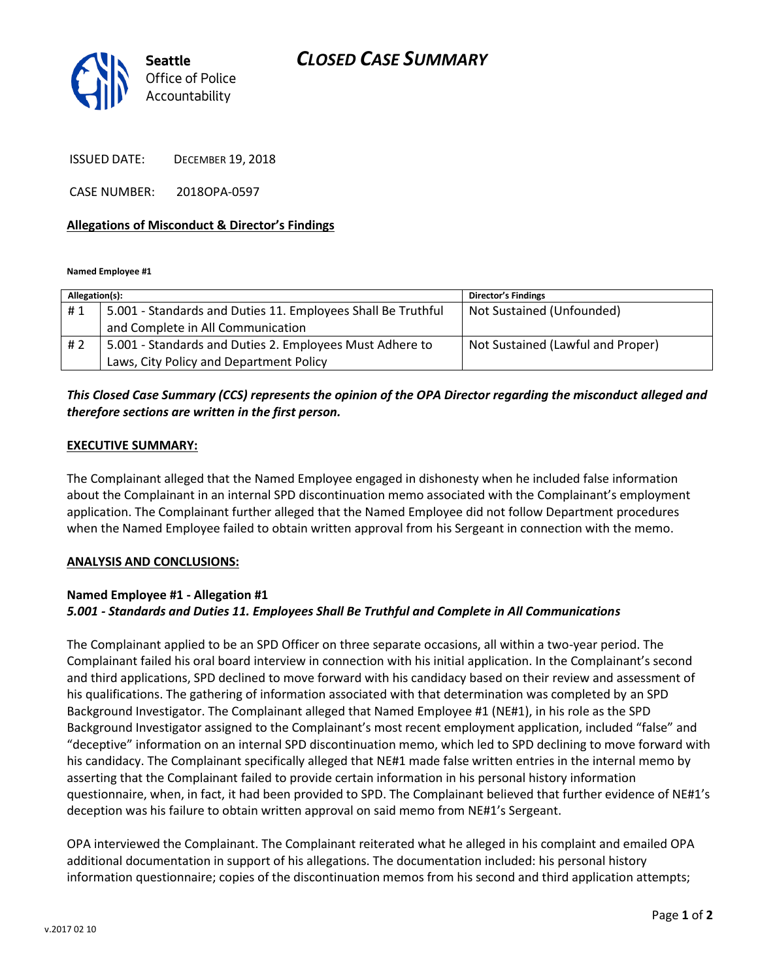# *CLOSED CASE SUMMARY*



ISSUED DATE: DECEMBER 19, 2018

CASE NUMBER: 2018OPA-0597

## **Allegations of Misconduct & Director's Findings**

**Named Employee #1**

| Allegation(s): |                                                              | <b>Director's Findings</b>        |
|----------------|--------------------------------------------------------------|-----------------------------------|
| #1             | 5.001 - Standards and Duties 11. Employees Shall Be Truthful | Not Sustained (Unfounded)         |
|                | and Complete in All Communication                            |                                   |
| # 2            | 5.001 - Standards and Duties 2. Employees Must Adhere to     | Not Sustained (Lawful and Proper) |
|                | Laws, City Policy and Department Policy                      |                                   |

## *This Closed Case Summary (CCS) represents the opinion of the OPA Director regarding the misconduct alleged and therefore sections are written in the first person.*

## **EXECUTIVE SUMMARY:**

The Complainant alleged that the Named Employee engaged in dishonesty when he included false information about the Complainant in an internal SPD discontinuation memo associated with the Complainant's employment application. The Complainant further alleged that the Named Employee did not follow Department procedures when the Named Employee failed to obtain written approval from his Sergeant in connection with the memo.

#### **ANALYSIS AND CONCLUSIONS:**

## **Named Employee #1 - Allegation #1** *5.001 - Standards and Duties 11. Employees Shall Be Truthful and Complete in All Communications*

The Complainant applied to be an SPD Officer on three separate occasions, all within a two-year period. The Complainant failed his oral board interview in connection with his initial application. In the Complainant's second and third applications, SPD declined to move forward with his candidacy based on their review and assessment of his qualifications. The gathering of information associated with that determination was completed by an SPD Background Investigator. The Complainant alleged that Named Employee #1 (NE#1), in his role as the SPD Background Investigator assigned to the Complainant's most recent employment application, included "false" and "deceptive" information on an internal SPD discontinuation memo, which led to SPD declining to move forward with his candidacy. The Complainant specifically alleged that NE#1 made false written entries in the internal memo by asserting that the Complainant failed to provide certain information in his personal history information questionnaire, when, in fact, it had been provided to SPD. The Complainant believed that further evidence of NE#1's deception was his failure to obtain written approval on said memo from NE#1's Sergeant.

OPA interviewed the Complainant. The Complainant reiterated what he alleged in his complaint and emailed OPA additional documentation in support of his allegations. The documentation included: his personal history information questionnaire; copies of the discontinuation memos from his second and third application attempts;